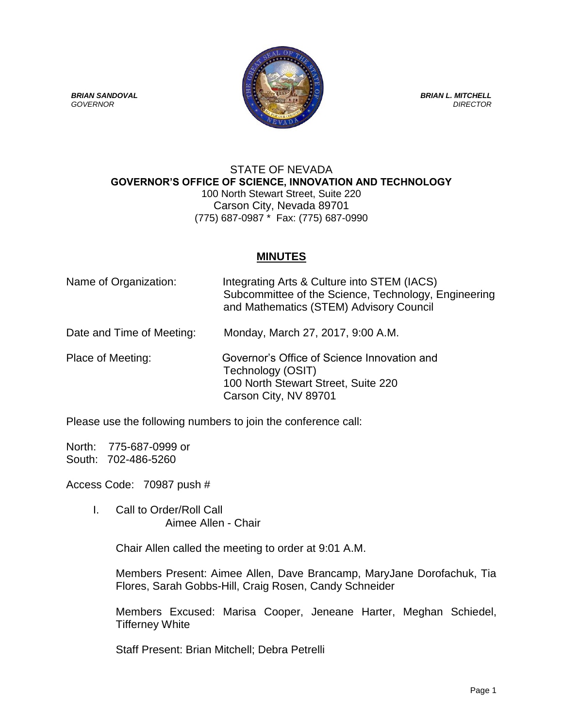

## STATE OF NEVADA **GOVERNOR'S OFFICE OF SCIENCE, INNOVATION AND TECHNOLOGY** 100 North Stewart Street, Suite 220 Carson City, Nevada 89701 (775) 687-0987 \* Fax: (775) 687-0990

## **MINUTES**

| Name of Organization:     | Integrating Arts & Culture into STEM (IACS)<br>Subcommittee of the Science, Technology, Engineering<br>and Mathematics (STEM) Advisory Council |
|---------------------------|------------------------------------------------------------------------------------------------------------------------------------------------|
| Date and Time of Meeting: | Monday, March 27, 2017, 9:00 A.M.                                                                                                              |
| Place of Meeting:         | Governor's Office of Science Innovation and<br>Technology (OSIT)<br>100 North Stewart Street, Suite 220<br>Carson City, NV 89701               |

Please use the following numbers to join the conference call:

North: 775-687-0999 or South: 702-486-5260

Access Code: 70987 push #

I. Call to Order/Roll Call Aimee Allen - Chair

Chair Allen called the meeting to order at 9:01 A.M.

Members Present: Aimee Allen, Dave Brancamp, MaryJane Dorofachuk, Tia Flores, Sarah Gobbs-Hill, Craig Rosen, Candy Schneider

Members Excused: Marisa Cooper, Jeneane Harter, Meghan Schiedel, Tifferney White

Staff Present: Brian Mitchell; Debra Petrelli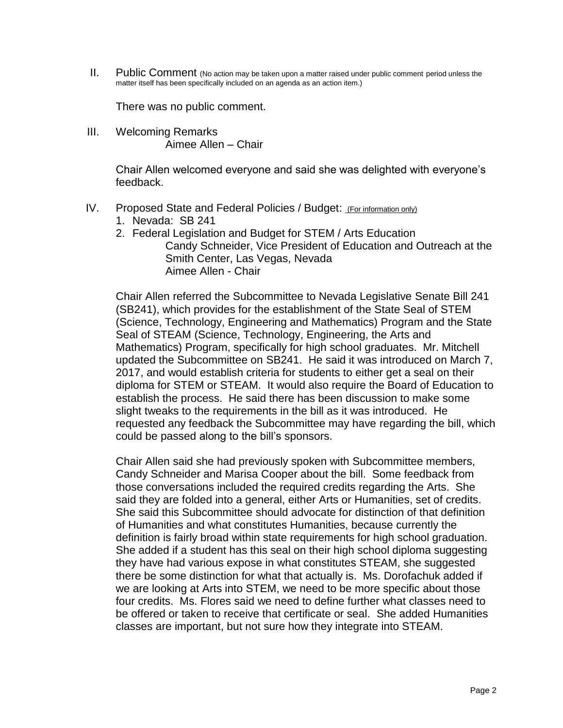II. Public Comment (No action may be taken upon a matter raised under public comment period unless the matter itself has been specifically included on an agenda as an action item.)

There was no public comment.

III. Welcoming Remarks Aimee Allen – Chair

> Chair Allen welcomed everyone and said she was delighted with everyone's feedback.

- IV. Proposed State and Federal Policies / Budget: (For information only)
	- 1. Nevada: SB 241
	- 2. Federal Legislation and Budget for STEM / Arts Education Candy Schneider, Vice President of Education and Outreach at the Smith Center, Las Vegas, Nevada Aimee Allen - Chair

Chair Allen referred the Subcommittee to Nevada Legislative Senate Bill 241 (SB241), which provides for the establishment of the State Seal of STEM (Science, Technology, Engineering and Mathematics) Program and the State Seal of STEAM (Science, Technology, Engineering, the Arts and Mathematics) Program, specifically for high school graduates. Mr. Mitchell updated the Subcommittee on SB241. He said it was introduced on March 7, 2017, and would establish criteria for students to either get a seal on their diploma for STEM or STEAM. It would also require the Board of Education to establish the process. He said there has been discussion to make some slight tweaks to the requirements in the bill as it was introduced. He requested any feedback the Subcommittee may have regarding the bill, which could be passed along to the bill's sponsors.

Chair Allen said she had previously spoken with Subcommittee members, Candy Schneider and Marisa Cooper about the bill. Some feedback from those conversations included the required credits regarding the Arts. She said they are folded into a general, either Arts or Humanities, set of credits. She said this Subcommittee should advocate for distinction of that definition of Humanities and what constitutes Humanities, because currently the definition is fairly broad within state requirements for high school graduation. She added if a student has this seal on their high school diploma suggesting they have had various expose in what constitutes STEAM, she suggested there be some distinction for what that actually is. Ms. Dorofachuk added if we are looking at Arts into STEM, we need to be more specific about those four credits. Ms. Flores said we need to define further what classes need to be offered or taken to receive that certificate or seal. She added Humanities classes are important, but not sure how they integrate into STEAM.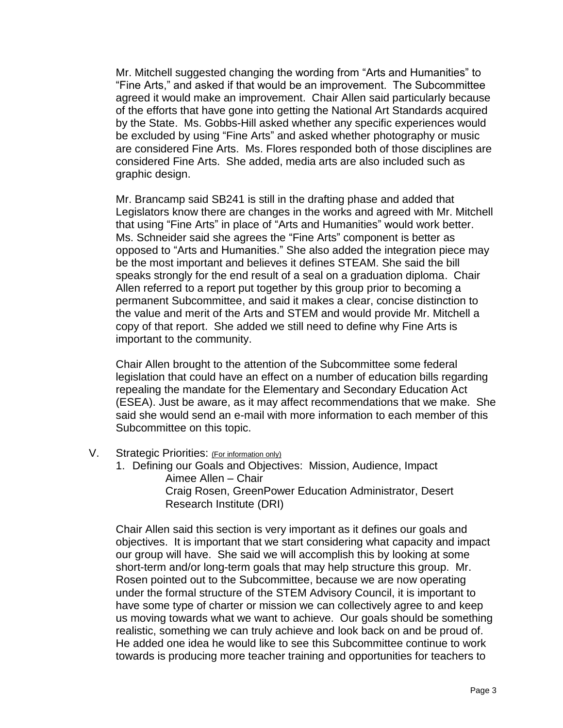Mr. Mitchell suggested changing the wording from "Arts and Humanities" to "Fine Arts," and asked if that would be an improvement. The Subcommittee agreed it would make an improvement. Chair Allen said particularly because of the efforts that have gone into getting the National Art Standards acquired by the State. Ms. Gobbs-Hill asked whether any specific experiences would be excluded by using "Fine Arts" and asked whether photography or music are considered Fine Arts. Ms. Flores responded both of those disciplines are considered Fine Arts. She added, media arts are also included such as graphic design.

Mr. Brancamp said SB241 is still in the drafting phase and added that Legislators know there are changes in the works and agreed with Mr. Mitchell that using "Fine Arts" in place of "Arts and Humanities" would work better. Ms. Schneider said she agrees the "Fine Arts" component is better as opposed to "Arts and Humanities." She also added the integration piece may be the most important and believes it defines STEAM. She said the bill speaks strongly for the end result of a seal on a graduation diploma. Chair Allen referred to a report put together by this group prior to becoming a permanent Subcommittee, and said it makes a clear, concise distinction to the value and merit of the Arts and STEM and would provide Mr. Mitchell a copy of that report. She added we still need to define why Fine Arts is important to the community.

Chair Allen brought to the attention of the Subcommittee some federal legislation that could have an effect on a number of education bills regarding repealing the mandate for the Elementary and Secondary Education Act (ESEA). Just be aware, as it may affect recommendations that we make. She said she would send an e-mail with more information to each member of this Subcommittee on this topic.

- V. Strategic Priorities: (For information only)
	- 1. Defining our Goals and Objectives: Mission, Audience, Impact Aimee Allen – Chair Craig Rosen, GreenPower Education Administrator, Desert Research Institute (DRI)

Chair Allen said this section is very important as it defines our goals and objectives. It is important that we start considering what capacity and impact our group will have. She said we will accomplish this by looking at some short-term and/or long-term goals that may help structure this group. Mr. Rosen pointed out to the Subcommittee, because we are now operating under the formal structure of the STEM Advisory Council, it is important to have some type of charter or mission we can collectively agree to and keep us moving towards what we want to achieve. Our goals should be something realistic, something we can truly achieve and look back on and be proud of. He added one idea he would like to see this Subcommittee continue to work towards is producing more teacher training and opportunities for teachers to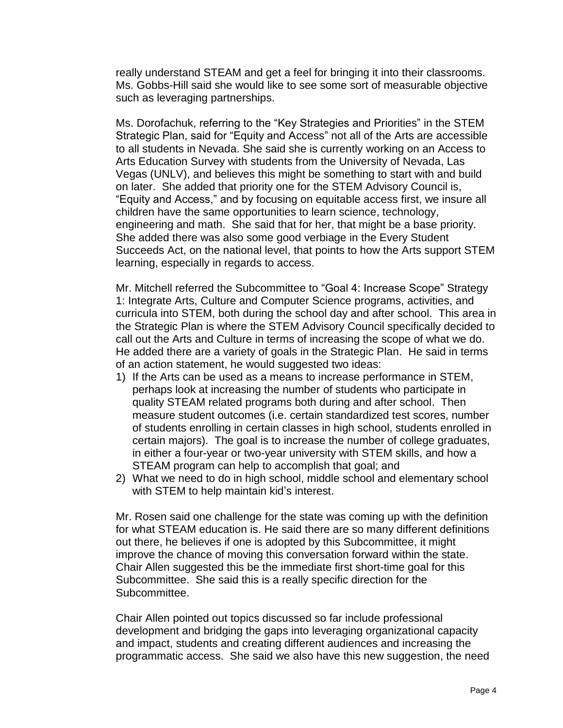really understand STEAM and get a feel for bringing it into their classrooms. Ms. Gobbs-Hill said she would like to see some sort of measurable objective such as leveraging partnerships.

Ms. Dorofachuk, referring to the "Key Strategies and Priorities" in the STEM Strategic Plan, said for "Equity and Access" not all of the Arts are accessible to all students in Nevada. She said she is currently working on an Access to Arts Education Survey with students from the University of Nevada, Las Vegas (UNLV), and believes this might be something to start with and build on later. She added that priority one for the STEM Advisory Council is, "Equity and Access," and by focusing on equitable access first, we insure all children have the same opportunities to learn science, technology, engineering and math. She said that for her, that might be a base priority. She added there was also some good verbiage in the Every Student Succeeds Act, on the national level, that points to how the Arts support STEM learning, especially in regards to access.

Mr. Mitchell referred the Subcommittee to "Goal 4: Increase Scope" Strategy 1: Integrate Arts, Culture and Computer Science programs, activities, and curricula into STEM, both during the school day and after school. This area in the Strategic Plan is where the STEM Advisory Council specifically decided to call out the Arts and Culture in terms of increasing the scope of what we do. He added there are a variety of goals in the Strategic Plan. He said in terms of an action statement, he would suggested two ideas:

- 1) If the Arts can be used as a means to increase performance in STEM, perhaps look at increasing the number of students who participate in quality STEAM related programs both during and after school. Then measure student outcomes (i.e. certain standardized test scores, number of students enrolling in certain classes in high school, students enrolled in certain majors). The goal is to increase the number of college graduates, in either a four-year or two-year university with STEM skills, and how a STEAM program can help to accomplish that goal; and
- 2) What we need to do in high school, middle school and elementary school with STEM to help maintain kid's interest.

Mr. Rosen said one challenge for the state was coming up with the definition for what STEAM education is. He said there are so many different definitions out there, he believes if one is adopted by this Subcommittee, it might improve the chance of moving this conversation forward within the state. Chair Allen suggested this be the immediate first short-time goal for this Subcommittee. She said this is a really specific direction for the Subcommittee.

Chair Allen pointed out topics discussed so far include professional development and bridging the gaps into leveraging organizational capacity and impact, students and creating different audiences and increasing the programmatic access. She said we also have this new suggestion, the need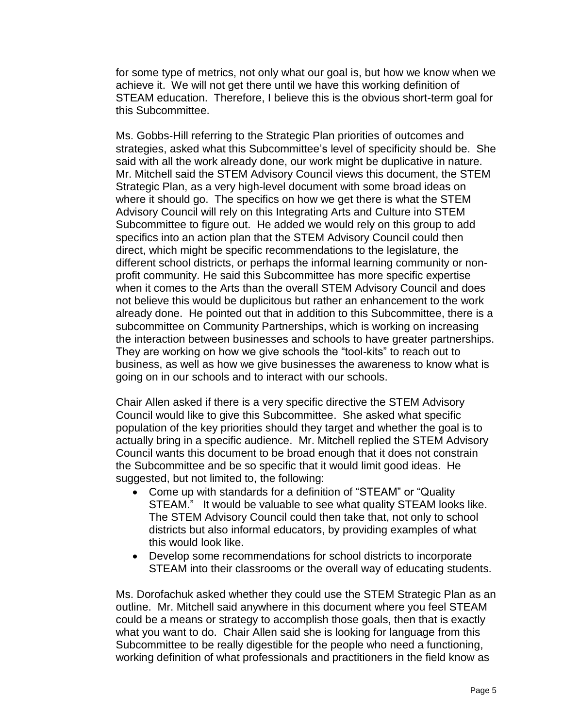for some type of metrics, not only what our goal is, but how we know when we achieve it. We will not get there until we have this working definition of STEAM education. Therefore, I believe this is the obvious short-term goal for this Subcommittee.

Ms. Gobbs-Hill referring to the Strategic Plan priorities of outcomes and strategies, asked what this Subcommittee's level of specificity should be. She said with all the work already done, our work might be duplicative in nature. Mr. Mitchell said the STEM Advisory Council views this document, the STEM Strategic Plan, as a very high-level document with some broad ideas on where it should go. The specifics on how we get there is what the STEM Advisory Council will rely on this Integrating Arts and Culture into STEM Subcommittee to figure out. He added we would rely on this group to add specifics into an action plan that the STEM Advisory Council could then direct, which might be specific recommendations to the legislature, the different school districts, or perhaps the informal learning community or nonprofit community. He said this Subcommittee has more specific expertise when it comes to the Arts than the overall STEM Advisory Council and does not believe this would be duplicitous but rather an enhancement to the work already done. He pointed out that in addition to this Subcommittee, there is a subcommittee on Community Partnerships, which is working on increasing the interaction between businesses and schools to have greater partnerships. They are working on how we give schools the "tool-kits" to reach out to business, as well as how we give businesses the awareness to know what is going on in our schools and to interact with our schools.

Chair Allen asked if there is a very specific directive the STEM Advisory Council would like to give this Subcommittee. She asked what specific population of the key priorities should they target and whether the goal is to actually bring in a specific audience. Mr. Mitchell replied the STEM Advisory Council wants this document to be broad enough that it does not constrain the Subcommittee and be so specific that it would limit good ideas. He suggested, but not limited to, the following:

- Come up with standards for a definition of "STEAM" or "Quality STEAM." It would be valuable to see what quality STEAM looks like. The STEM Advisory Council could then take that, not only to school districts but also informal educators, by providing examples of what this would look like.
- Develop some recommendations for school districts to incorporate STEAM into their classrooms or the overall way of educating students.

Ms. Dorofachuk asked whether they could use the STEM Strategic Plan as an outline. Mr. Mitchell said anywhere in this document where you feel STEAM could be a means or strategy to accomplish those goals, then that is exactly what you want to do. Chair Allen said she is looking for language from this Subcommittee to be really digestible for the people who need a functioning, working definition of what professionals and practitioners in the field know as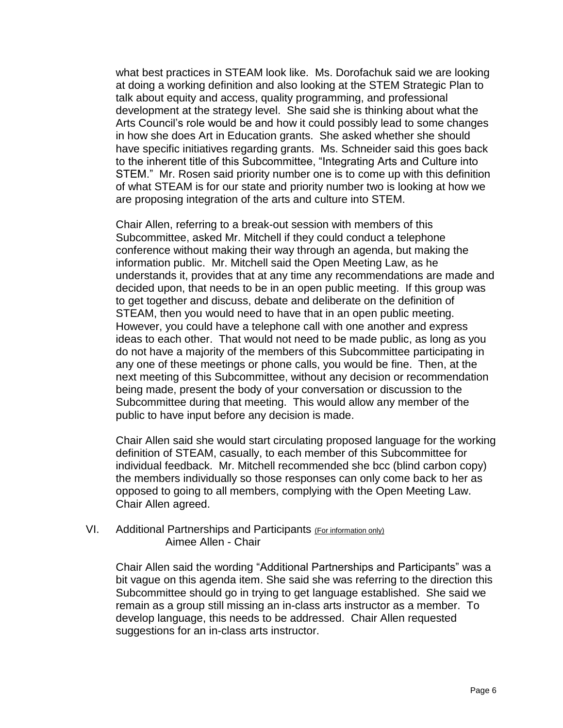what best practices in STEAM look like. Ms. Dorofachuk said we are looking at doing a working definition and also looking at the STEM Strategic Plan to talk about equity and access, quality programming, and professional development at the strategy level. She said she is thinking about what the Arts Council's role would be and how it could possibly lead to some changes in how she does Art in Education grants. She asked whether she should have specific initiatives regarding grants. Ms. Schneider said this goes back to the inherent title of this Subcommittee, "Integrating Arts and Culture into STEM." Mr. Rosen said priority number one is to come up with this definition of what STEAM is for our state and priority number two is looking at how we are proposing integration of the arts and culture into STEM.

Chair Allen, referring to a break-out session with members of this Subcommittee, asked Mr. Mitchell if they could conduct a telephone conference without making their way through an agenda, but making the information public. Mr. Mitchell said the Open Meeting Law, as he understands it, provides that at any time any recommendations are made and decided upon, that needs to be in an open public meeting. If this group was to get together and discuss, debate and deliberate on the definition of STEAM, then you would need to have that in an open public meeting. However, you could have a telephone call with one another and express ideas to each other. That would not need to be made public, as long as you do not have a majority of the members of this Subcommittee participating in any one of these meetings or phone calls, you would be fine. Then, at the next meeting of this Subcommittee, without any decision or recommendation being made, present the body of your conversation or discussion to the Subcommittee during that meeting. This would allow any member of the public to have input before any decision is made.

Chair Allen said she would start circulating proposed language for the working definition of STEAM, casually, to each member of this Subcommittee for individual feedback. Mr. Mitchell recommended she bcc (blind carbon copy) the members individually so those responses can only come back to her as opposed to going to all members, complying with the Open Meeting Law. Chair Allen agreed.

VI. Additional Partnerships and Participants (For information only) Aimee Allen - Chair

> Chair Allen said the wording "Additional Partnerships and Participants" was a bit vague on this agenda item. She said she was referring to the direction this Subcommittee should go in trying to get language established. She said we remain as a group still missing an in-class arts instructor as a member. To develop language, this needs to be addressed. Chair Allen requested suggestions for an in-class arts instructor.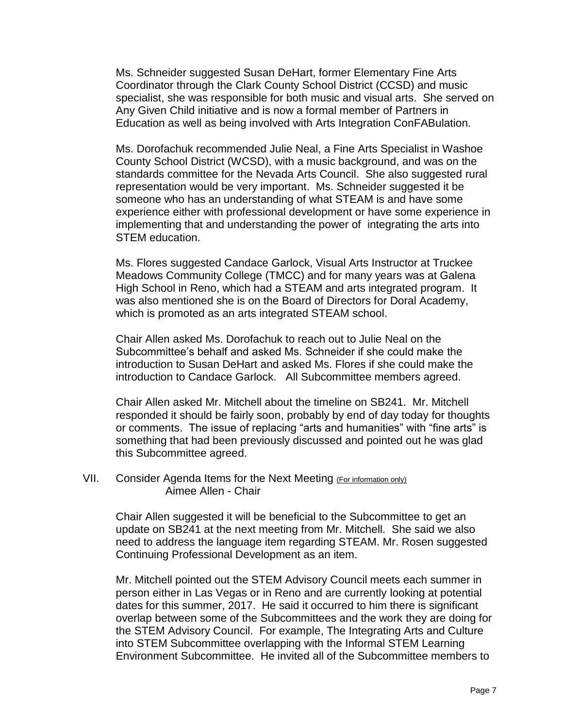Ms. Schneider suggested Susan DeHart, former Elementary Fine Arts Coordinator through the Clark County School District (CCSD) and music specialist, she was responsible for both music and visual arts. She served on Any Given Child initiative and is now a formal member of Partners in Education as well as being involved with Arts Integration ConFABulation.

Ms. Dorofachuk recommended Julie Neal, a Fine Arts Specialist in Washoe County School District (WCSD), with a music background, and was on the standards committee for the Nevada Arts Council. She also suggested rural representation would be very important. Ms. Schneider suggested it be someone who has an understanding of what STEAM is and have some experience either with professional development or have some experience in implementing that and understanding the power of integrating the arts into STEM education.

Ms. Flores suggested Candace Garlock, Visual Arts Instructor at Truckee Meadows Community College (TMCC) and for many years was at Galena High School in Reno, which had a STEAM and arts integrated program. It was also mentioned she is on the Board of Directors for Doral Academy, which is promoted as an arts integrated STEAM school.

Chair Allen asked Ms. Dorofachuk to reach out to Julie Neal on the Subcommittee's behalf and asked Ms. Schneider if she could make the introduction to Susan DeHart and asked Ms. Flores if she could make the introduction to Candace Garlock. All Subcommittee members agreed.

Chair Allen asked Mr. Mitchell about the timeline on SB241. Mr. Mitchell responded it should be fairly soon, probably by end of day today for thoughts or comments. The issue of replacing "arts and humanities" with "fine arts" is something that had been previously discussed and pointed out he was glad this Subcommittee agreed.

VII. Consider Agenda Items for the Next Meeting (For information only) Aimee Allen - Chair

> Chair Allen suggested it will be beneficial to the Subcommittee to get an update on SB241 at the next meeting from Mr. Mitchell. She said we also need to address the language item regarding STEAM. Mr. Rosen suggested Continuing Professional Development as an item.

Mr. Mitchell pointed out the STEM Advisory Council meets each summer in person either in Las Vegas or in Reno and are currently looking at potential dates for this summer, 2017. He said it occurred to him there is significant overlap between some of the Subcommittees and the work they are doing for the STEM Advisory Council. For example, The Integrating Arts and Culture into STEM Subcommittee overlapping with the Informal STEM Learning Environment Subcommittee. He invited all of the Subcommittee members to